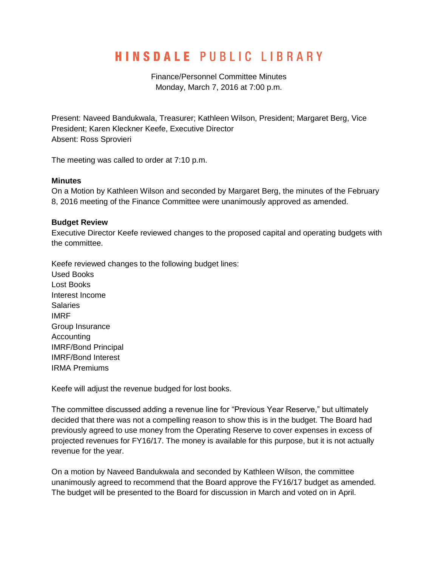# **HINSDALE PUBLIC LIBRARY**

Finance/Personnel Committee Minutes Monday, March 7, 2016 at 7:00 p.m.

Present: Naveed Bandukwala, Treasurer; Kathleen Wilson, President; Margaret Berg, Vice President; Karen Kleckner Keefe, Executive Director Absent: Ross Sprovieri

The meeting was called to order at 7:10 p.m.

#### **Minutes**

On a Motion by Kathleen Wilson and seconded by Margaret Berg, the minutes of the February 8, 2016 meeting of the Finance Committee were unanimously approved as amended.

## **Budget Review**

Executive Director Keefe reviewed changes to the proposed capital and operating budgets with the committee.

Keefe reviewed changes to the following budget lines: Used Books Lost Books Interest Income Salaries IMRF Group Insurance Accounting IMRF/Bond Principal IMRF/Bond Interest IRMA Premiums

Keefe will adjust the revenue budged for lost books.

The committee discussed adding a revenue line for "Previous Year Reserve," but ultimately decided that there was not a compelling reason to show this is in the budget. The Board had previously agreed to use money from the Operating Reserve to cover expenses in excess of projected revenues for FY16/17. The money is available for this purpose, but it is not actually revenue for the year.

On a motion by Naveed Bandukwala and seconded by Kathleen Wilson, the committee unanimously agreed to recommend that the Board approve the FY16/17 budget as amended. The budget will be presented to the Board for discussion in March and voted on in April.